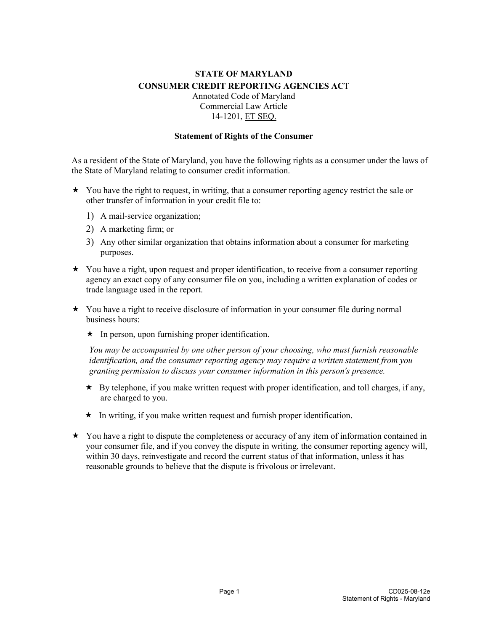## **STATE OF MARYLAND CONSUMER CREDIT REPORTING AGENCIES AC**T Annotated Code of Maryland Commercial Law Article

## 14-1201, ET SEQ.

## **Statement of Rights of the Consumer**

As a resident of the State of Maryland, you have the following rights as a consumer under the laws of the State of Maryland relating to consumer credit information.

- $\star$  You have the right to request, in writing, that a consumer reporting agency restrict the sale or other transfer of information in your credit file to:
	- 1) A mail-service organization;
	- 2) A marketing firm; or
	- 3) Any other similar organization that obtains information about a consumer for marketing purposes.
- $\star$  You have a right, upon request and proper identification, to receive from a consumer reporting agency an exact copy of any consumer file on you, including a written explanation of codes or trade language used in the report.
- $\star$  You have a right to receive disclosure of information in your consumer file during normal business hours:
	- $\star$  In person, upon furnishing proper identification.

*You may be accompanied by one other person of your choosing, who must furnish reasonable identification, and the consumer reporting agency may require a written statement from you granting permission to discuss your consumer information in this person's presence.*

- \* By telephone, if you make written request with proper identification, and toll charges, if any, are charged to you.
- $\star$  In writing, if you make written request and furnish proper identification.
- $\star$  You have a right to dispute the completeness or accuracy of any item of information contained in your consumer file, and if you convey the dispute in writing, the consumer reporting agency will, within 30 days, reinvestigate and record the current status of that information, unless it has reasonable grounds to believe that the dispute is frivolous or irrelevant.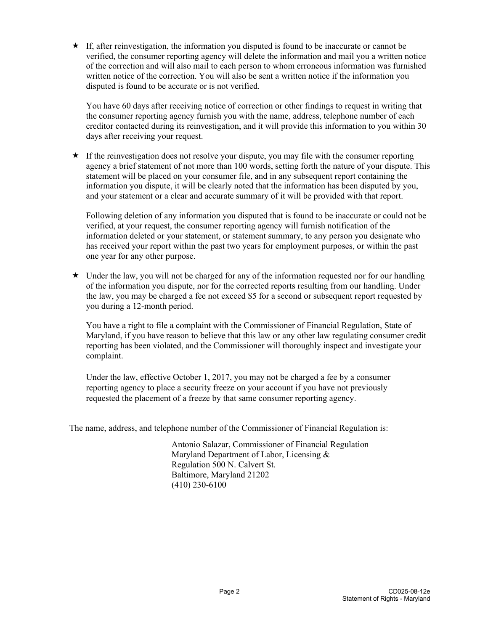If, after reinvestigation, the information you disputed is found to be inaccurate or cannot be verified, the consumer reporting agency will delete the information and mail you a written notice of the correction and will also mail to each person to whom erroneous information was furnished written notice of the correction. You will also be sent a written notice if the information you disputed is found to be accurate or is not verified.

You have 60 days after receiving notice of correction or other findings to request in writing that the consumer reporting agency furnish you with the name, address, telephone number of each creditor contacted during its reinvestigation, and it will provide this information to you within 30 days after receiving your request.

 $\star$  If the reinvestigation does not resolve your dispute, you may file with the consumer reporting agency a brief statement of not more than 100 words, setting forth the nature of your dispute. This statement will be placed on your consumer file, and in any subsequent report containing the information you dispute, it will be clearly noted that the information has been disputed by you, and your statement or a clear and accurate summary of it will be provided with that report.

Following deletion of any information you disputed that is found to be inaccurate or could not be verified, at your request, the consumer reporting agency will furnish notification of the information deleted or your statement, or statement summary, to any person you designate who has received your report within the past two years for employment purposes, or within the past one year for any other purpose.

 $\star$  Under the law, you will not be charged for any of the information requested nor for our handling of the information you dispute, nor for the corrected reports resulting from our handling. Under the law, you may be charged a fee not exceed \$5 for a second or subsequent report requested by you during a 12-month period.

You have a right to file a complaint with the Commissioner of Financial Regulation, State of Maryland, if you have reason to believe that this law or any other law regulating consumer credit reporting has been violated, and the Commissioner will thoroughly inspect and investigate your complaint.

Under the law, effective October 1, 2017, you may not be charged a fee by a consumer reporting agency to place a security freeze on your account if you have not previously requested the placement of a freeze by that same consumer reporting agency.

The name, address, and telephone number of the Commissioner of Financial Regulation is:

Antonio Salazar, Commissioner of Financial Regulation Maryland Department of Labor, Licensing & Regulation 500 N. Calvert St. Baltimore, Maryland 21202 (410) 230-6100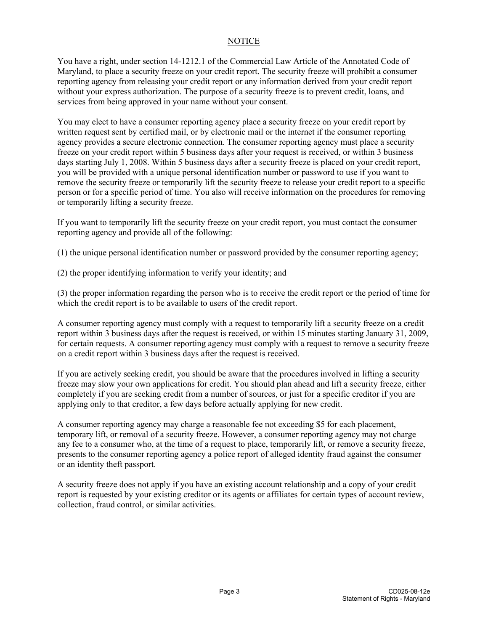## NOTICE

You have a right, under section 14-1212.1 of the Commercial Law Article of the Annotated Code of Maryland, to place a security freeze on your credit report. The security freeze will prohibit a consumer reporting agency from releasing your credit report or any information derived from your credit report without your express authorization. The purpose of a security freeze is to prevent credit, loans, and services from being approved in your name without your consent.

You may elect to have a consumer reporting agency place a security freeze on your credit report by written request sent by certified mail, or by electronic mail or the internet if the consumer reporting agency provides a secure electronic connection. The consumer reporting agency must place a security freeze on your credit report within 5 business days after your request is received, or within 3 business days starting July 1, 2008. Within 5 business days after a security freeze is placed on your credit report, you will be provided with a unique personal identification number or password to use if you want to remove the security freeze or temporarily lift the security freeze to release your credit report to a specific person or for a specific period of time. You also will receive information on the procedures for removing or temporarily lifting a security freeze.

If you want to temporarily lift the security freeze on your credit report, you must contact the consumer reporting agency and provide all of the following:

- (1) the unique personal identification number or password provided by the consumer reporting agency;
- (2) the proper identifying information to verify your identity; and

(3) the proper information regarding the person who is to receive the credit report or the period of time for which the credit report is to be available to users of the credit report.

A consumer reporting agency must comply with a request to temporarily lift a security freeze on a credit report within 3 business days after the request is received, or within 15 minutes starting January 31, 2009, for certain requests. A consumer reporting agency must comply with a request to remove a security freeze on a credit report within 3 business days after the request is received.

If you are actively seeking credit, you should be aware that the procedures involved in lifting a security freeze may slow your own applications for credit. You should plan ahead and lift a security freeze, either completely if you are seeking credit from a number of sources, or just for a specific creditor if you are applying only to that creditor, a few days before actually applying for new credit.

A consumer reporting agency may charge a reasonable fee not exceeding \$5 for each placement, temporary lift, or removal of a security freeze. However, a consumer reporting agency may not charge any fee to a consumer who, at the time of a request to place, temporarily lift, or remove a security freeze, presents to the consumer reporting agency a police report of alleged identity fraud against the consumer or an identity theft passport.

A security freeze does not apply if you have an existing account relationship and a copy of your credit report is requested by your existing creditor or its agents or affiliates for certain types of account review, collection, fraud control, or similar activities.